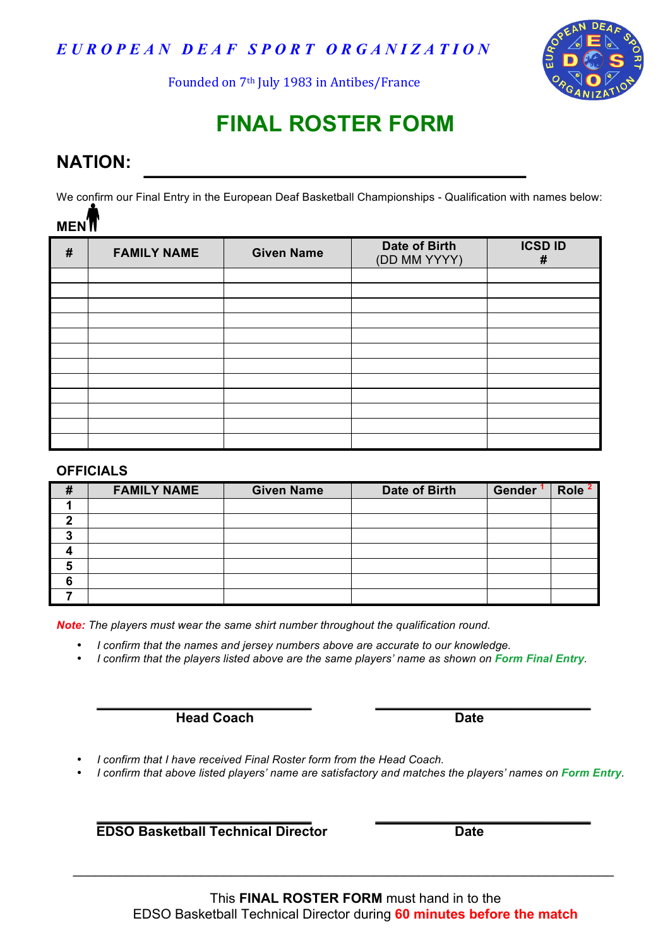*E U R O P E A N D E A F S P O R T O R G A N I Z A T I O N*



Founded on 7<sup>th</sup> July 1983 in Antibes/France

# **FINAL ROSTER FORM**

## **NATION:**

We confirm our Final Entry in the European Deaf Basketball Championships - Qualification with names below: **MEN**

| # | <b>FAMILY NAME</b> | <b>Given Name</b> | Date of Birth<br>(DD MM YYYY) | <b>ICSD ID</b><br># |
|---|--------------------|-------------------|-------------------------------|---------------------|
|   |                    |                   |                               |                     |
|   |                    |                   |                               |                     |
|   |                    |                   |                               |                     |
|   |                    |                   |                               |                     |
|   |                    |                   |                               |                     |
|   |                    |                   |                               |                     |
|   |                    |                   |                               |                     |
|   |                    |                   |                               |                     |
|   |                    |                   |                               |                     |
|   |                    |                   |                               |                     |
|   |                    |                   |                               |                     |
|   |                    |                   |                               |                     |

#### **OFFICIALS**

| # | <b>FAMILY NAME</b> | <b>Given Name</b> | Date of Birth | Gender | Role <sup>2</sup> |
|---|--------------------|-------------------|---------------|--------|-------------------|
|   |                    |                   |               |        |                   |
|   |                    |                   |               |        |                   |
|   |                    |                   |               |        |                   |
|   |                    |                   |               |        |                   |
| 5 |                    |                   |               |        |                   |
| 6 |                    |                   |               |        |                   |
|   |                    |                   |               |        |                   |

*Note: The players must wear the same shirt number throughout the qualification round.*

• *I confirm that the names and jersey numbers above are accurate to our knowledge.*

• *I confirm that the players listed above are the same players' name as shown on Form Final Entry.*

**Head Coach Date** 

• *I confirm that I have received Final Roster form from the Head Coach.*

• *I confirm that above listed players' name are satisfactory and matches the players' names on Form Entry.*

**EDSO Basketball Technical Director Date** 

\_\_\_\_\_\_\_\_\_\_\_\_\_\_\_\_\_\_\_\_\_\_\_\_\_\_\_\_\_\_\_\_\_\_\_\_\_\_\_\_\_\_\_\_\_\_\_\_\_\_\_\_\_\_\_\_\_\_\_\_\_\_\_\_\_\_\_\_\_\_\_\_